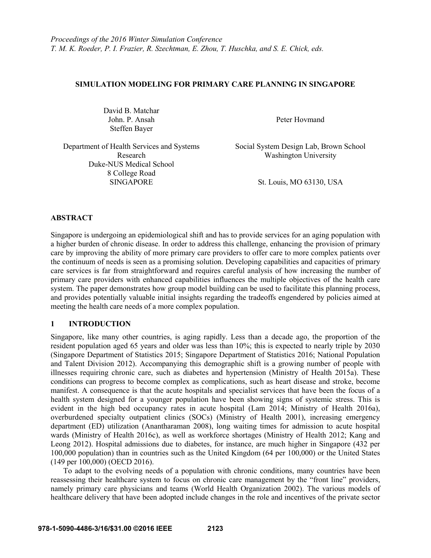# **SIMULATION MODELING FOR PRIMARY CARE PLANNING IN SINGAPORE**

David B. Matchar John. P. Ansah Peter Hovmand Steffen Bayer

Department of Health Services and Systems Research Duke-NUS Medical School 8 College Road SINGAPORE St. Louis, MO 63130, USA

Social System Design Lab, Brown School Washington University

# **ABSTRACT**

Singapore is undergoing an epidemiological shift and has to provide services for an aging population with a higher burden of chronic disease. In order to address this challenge, enhancing the provision of primary care by improving the ability of more primary care providers to offer care to more complex patients over the continuum of needs is seen as a promising solution. Developing capabilities and capacities of primary care services is far from straightforward and requires careful analysis of how increasing the number of primary care providers with enhanced capabilities influences the multiple objectives of the health care system. The paper demonstrates how group model building can be used to facilitate this planning process, and provides potentially valuable initial insights regarding the tradeoffs engendered by policies aimed at meeting the health care needs of a more complex population.

# **1 INTRODUCTION**

Singapore, like many other countries, is aging rapidly. Less than a decade ago, the proportion of the resident population aged 65 years and older was less than 10%; this is expected to nearly triple by 2030 (Singapore Department of Statistics 2015; Singapore Department of Statistics 2016; National Population and Talent Division 2012). Accompanying this demographic shift is a growing number of people with illnesses requiring chronic care, such as diabetes and hypertension (Ministry of Health 2015a). These conditions can progress to become complex as complications, such as heart disease and stroke, become manifest. A consequence is that the acute hospitals and specialist services that have been the focus of a health system designed for a younger population have been showing signs of systemic stress. This is evident in the high bed occupancy rates in acute hospital (Lam 2014; Ministry of Health 2016a), overburdened specialty outpatient clinics (SOCs) (Ministry of Health 2001), increasing emergency department (ED) utilization (Anantharaman 2008), long waiting times for admission to acute hospital wards (Ministry of Health 2016c), as well as workforce shortages (Ministry of Health 2012; Kang and Leong 2012). Hospital admissions due to diabetes, for instance, are much higher in Singapore (432 per 100,000 population) than in countries such as the United Kingdom (64 per 100,000) or the United States (149 per 100,000) (OECD 2016).

To adapt to the evolving needs of a population with chronic conditions, many countries have been reassessing their healthcare system to focus on chronic care management by the "front line" providers, namely primary care physicians and teams (World Health Organization 2002). The various models of healthcare delivery that have been adopted include changes in the role and incentives of the private sector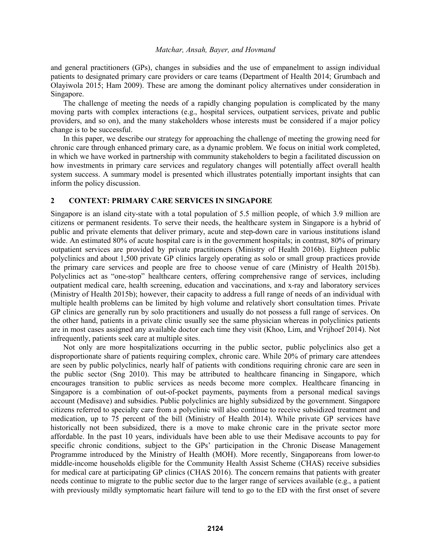and general practitioners (GPs), changes in subsidies and the use of empanelment to assign individual patients to designated primary care providers or care teams (Department of Health 2014; Grumbach and Olayiwola 2015; Ham 2009). These are among the dominant policy alternatives under consideration in Singapore.

The challenge of meeting the needs of a rapidly changing population is complicated by the many moving parts with complex interactions (e.g., hospital services, outpatient services, private and public providers, and so on), and the many stakeholders whose interests must be considered if a major policy change is to be successful.

In this paper, we describe our strategy for approaching the challenge of meeting the growing need for chronic care through enhanced primary care, as a dynamic problem. We focus on initial work completed, in which we have worked in partnership with community stakeholders to begin a facilitated discussion on how investments in primary care services and regulatory changes will potentially affect overall health system success. A summary model is presented which illustrates potentially important insights that can inform the policy discussion.

#### **2 CONTEXT: PRIMARY CARE SERVICES IN SINGAPORE**

Singapore is an island city-state with a total population of 5.5 million people, of which 3.9 million are citizens or permanent residents. To serve their needs, the healthcare system in Singapore is a hybrid of public and private elements that deliver primary, acute and step-down care in various institutions island wide. An estimated 80% of acute hospital care is in the government hospitals; in contrast, 80% of primary outpatient services are provided by private practitioners (Ministry of Health 2016b). Eighteen public polyclinics and about 1,500 private GP clinics largely operating as solo or small group practices provide the primary care services and people are free to choose venue of care (Ministry of Health 2015b). Polyclinics act as "one-stop" healthcare centers, offering comprehensive range of services, including outpatient medical care, health screening, education and vaccinations, and x-ray and laboratory services (Ministry of Health 2015b); however, their capacity to address a full range of needs of an individual with multiple health problems can be limited by high volume and relatively short consultation times. Private GP clinics are generally run by solo practitioners and usually do not possess a full range of services. On the other hand, patients in a private clinic usually see the same physician whereas in polyclinics patients are in most cases assigned any available doctor each time they visit (Khoo, Lim, and Vrijhoef 2014). Not infrequently, patients seek care at multiple sites.

Not only are more hospitalizations occurring in the public sector, public polyclinics also get a disproportionate share of patients requiring complex, chronic care. While 20% of primary care attendees are seen by public polyclinics, nearly half of patients with conditions requiring chronic care are seen in the public sector (Sng 2010). This may be attributed to healthcare financing in Singapore, which encourages transition to public services as needs become more complex. Healthcare financing in Singapore is a combination of out-of-pocket payments, payments from a personal medical savings account (Medisave) and subsidies. Public polyclinics are highly subsidized by the government. Singapore citizens referred to specialty care from a polyclinic will also continue to receive subsidized treatment and medication, up to 75 percent of the bill (Ministry of Health 2014). While private GP services have historically not been subsidized, there is a move to make chronic care in the private sector more affordable. In the past 10 years, individuals have been able to use their Medisave accounts to pay for specific chronic conditions, subject to the GPs' participation in the Chronic Disease Management Programme introduced by the Ministry of Health (MOH). More recently, Singaporeans from lower-to middle-income households eligible for the Community Health Assist Scheme (CHAS) receive subsidies for medical care at participating GP clinics (CHAS 2016). The concern remains that patients with greater needs continue to migrate to the public sector due to the larger range of services available (e.g., a patient with previously mildly symptomatic heart failure will tend to go to the ED with the first onset of severe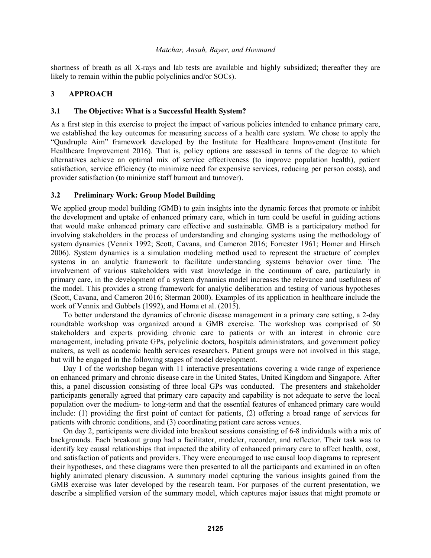shortness of breath as all X-rays and lab tests are available and highly subsidized; thereafter they are likely to remain within the public polyclinics and/or SOCs).

# **3 APPROACH**

### **3.1 The Objective: What is a Successful Health System?**

As a first step in this exercise to project the impact of various policies intended to enhance primary care, we established the key outcomes for measuring success of a health care system. We chose to apply the "Quadruple Aim" framework developed by the Institute for Healthcare Improvement (Institute for Healthcare Improvement 2016). That is, policy options are assessed in terms of the degree to which alternatives achieve an optimal mix of service effectiveness (to improve population health), patient satisfaction, service efficiency (to minimize need for expensive services, reducing per person costs), and provider satisfaction (to minimize staff burnout and turnover).

# **3.2 Preliminary Work: Group Model Building**

We applied group model building (GMB) to gain insights into the dynamic forces that promote or inhibit the development and uptake of enhanced primary care, which in turn could be useful in guiding actions that would make enhanced primary care effective and sustainable. GMB is a participatory method for involving stakeholders in the process of understanding and changing systems using the methodology of system dynamics (Vennix 1992; Scott, Cavana, and Cameron 2016; Forrester 1961; Homer and Hirsch 2006). System dynamics is a simulation modeling method used to represent the structure of complex systems in an analytic framework to facilitate understanding systems behavior over time. The involvement of various stakeholders with vast knowledge in the continuum of care, particularly in primary care, in the development of a system dynamics model increases the relevance and usefulness of the model. This provides a strong framework for analytic deliberation and testing of various hypotheses (Scott, Cavana, and Cameron 2016; Sterman 2000). Examples of its application in healthcare include the work of Vennix and Gubbels (1992), and Homa et al. (2015).

To better understand the dynamics of chronic disease management in a primary care setting, a 2-day roundtable workshop was organized around a GMB exercise. The workshop was comprised of 50 stakeholders and experts providing chronic care to patients or with an interest in chronic care management, including private GPs, polyclinic doctors, hospitals administrators, and government policy makers, as well as academic health services researchers. Patient groups were not involved in this stage, but will be engaged in the following stages of model development.

Day 1 of the workshop began with 11 interactive presentations covering a wide range of experience on enhanced primary and chronic disease care in the United States, United Kingdom and Singapore. After this, a panel discussion consisting of three local GPs was conducted. The presenters and stakeholder participants generally agreed that primary care capacity and capability is not adequate to serve the local population over the medium- to long-term and that the essential features of enhanced primary care would include: (1) providing the first point of contact for patients, (2) offering a broad range of services for patients with chronic conditions, and (3) coordinating patient care across venues.

On day 2, participants were divided into breakout sessions consisting of 6-8 individuals with a mix of backgrounds. Each breakout group had a facilitator, modeler, recorder, and reflector. Their task was to identify key causal relationships that impacted the ability of enhanced primary care to affect health, cost, and satisfaction of patients and providers. They were encouraged to use causal loop diagrams to represent their hypotheses, and these diagrams were then presented to all the participants and examined in an often highly animated plenary discussion. A summary model capturing the various insights gained from the GMB exercise was later developed by the research team. For purposes of the current presentation, we describe a simplified version of the summary model, which captures major issues that might promote or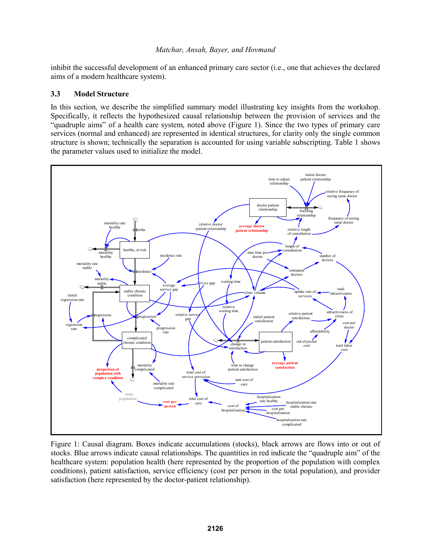inhibit the successful development of an enhanced primary care sector (i.e., one that achieves the declared aims of a modern healthcare system).

# **3.3 Model Structure**

In this section, we describe the simplified summary model illustrating key insights from the workshop. Specifically, it reflects the hypothesized causal relationship between the provision of services and the "quadruple aims" of a health care system, noted above (Figure 1). Since the two types of primary care services (normal and enhanced) are represented in identical structures, for clarity only the single common structure is shown; technically the separation is accounted for using variable subscripting. Table 1 shows the parameter values used to initialize the model.



Figure 1: Causal diagram. Boxes indicate accumulations (stocks), black arrows are flows into or out of stocks. Blue arrows indicate causal relationships. The quantities in red indicate the "quadruple aim" of the healthcare system: population health (here represented by the proportion of the population with complex conditions), patient satisfaction, service efficiency (cost per person in the total population), and provider satisfaction (here represented by the doctor-patient relationship).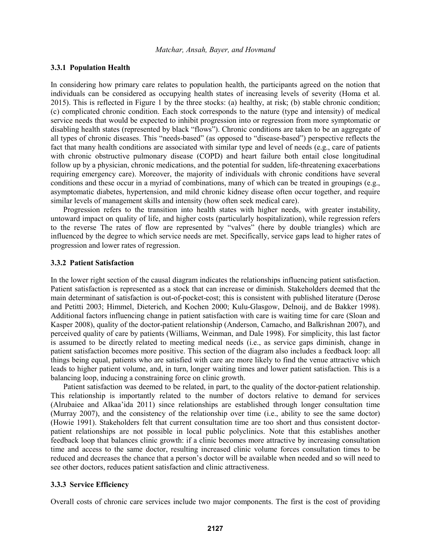### **3.3.1 Population Health**

In considering how primary care relates to population health, the participants agreed on the notion that individuals can be considered as occupying health states of increasing levels of severity (Homa et al. 2015). This is reflected in Figure 1 by the three stocks: (a) healthy, at risk; (b) stable chronic condition; (c) complicated chronic condition. Each stock corresponds to the nature (type and intensity) of medical service needs that would be expected to inhibit progression into or regression from more symptomatic or disabling health states (represented by black "flows"). Chronic conditions are taken to be an aggregate of all types of chronic diseases. This "needs-based" (as opposed to "disease-based") perspective reflects the fact that many health conditions are associated with similar type and level of needs (e.g., care of patients with chronic obstructive pulmonary disease (COPD) and heart failure both entail close longitudinal follow up by a physician, chronic medications, and the potential for sudden, life-threatening exacerbations requiring emergency care). Moreover, the majority of individuals with chronic conditions have several conditions and these occur in a myriad of combinations, many of which can be treated in groupings (e.g., asymptomatic diabetes, hypertension, and mild chronic kidney disease often occur together, and require similar levels of management skills and intensity (how often seek medical care).

Progression refers to the transition into health states with higher needs, with greater instability, untoward impact on quality of life, and higher costs (particularly hospitalization), while regression refers to the reverse The rates of flow are represented by "valves" (here by double triangles) which are influenced by the degree to which service needs are met. Specifically, service gaps lead to higher rates of progression and lower rates of regression.

#### **3.3.2 Patient Satisfaction**

In the lower right section of the causal diagram indicates the relationships influencing patient satisfaction. Patient satisfaction is represented as a stock that can increase or diminish. Stakeholders deemed that the main determinant of satisfaction is out-of-pocket-cost; this is consistent with published literature (Derose and Petitti 2003; Himmel, Dieterich, and Kochen 2000; Kulu-Glasgow, Delnoij, and de Bakker 1998). Additional factors influencing change in patient satisfaction with care is waiting time for care (Sloan and Kasper 2008), quality of the doctor-patient relationship (Anderson, Camacho, and Balkrishnan 2007), and perceived quality of care by patients (Williams, Weinman, and Dale 1998). For simplicity, this last factor is assumed to be directly related to meeting medical needs (i.e., as service gaps diminish, change in patient satisfaction becomes more positive. This section of the diagram also includes a feedback loop: all things being equal, patients who are satisfied with care are more likely to find the venue attractive which leads to higher patient volume, and, in turn, longer waiting times and lower patient satisfaction. This is a balancing loop, inducing a constraining force on clinic growth.

Patient satisfaction was deemed to be related, in part, to the quality of the doctor-patient relationship. This relationship is importantly related to the number of doctors relative to demand for services (Alrubaiee and Alkaa'ida 2011) since relationships are established through longer consultation time (Murray 2007), and the consistency of the relationship over time (i.e., ability to see the same doctor) (Howie 1991). Stakeholders felt that current consultation time are too short and thus consistent doctorpatient relationships are not possible in local public polyclinics. Note that this establishes another feedback loop that balances clinic growth: if a clinic becomes more attractive by increasing consultation time and access to the same doctor, resulting increased clinic volume forces consultation times to be reduced and decreases the chance that a person's doctor will be available when needed and so will need to see other doctors, reduces patient satisfaction and clinic attractiveness.

# **3.3.3 Service Efficiency**

Overall costs of chronic care services include two major components. The first is the cost of providing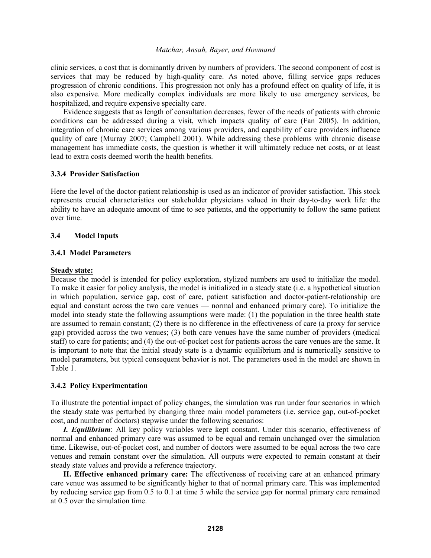clinic services, a cost that is dominantly driven by numbers of providers. The second component of cost is services that may be reduced by high-quality care. As noted above, filling service gaps reduces progression of chronic conditions. This progression not only has a profound effect on quality of life, it is also expensive. More medically complex individuals are more likely to use emergency services, be hospitalized, and require expensive specialty care.

Evidence suggests that as length of consultation decreases, fewer of the needs of patients with chronic conditions can be addressed during a visit, which impacts quality of care (Fan 2005). In addition, integration of chronic care services among various providers, and capability of care providers influence quality of care (Murray 2007; Campbell 2001). While addressing these problems with chronic disease management has immediate costs, the question is whether it will ultimately reduce net costs, or at least lead to extra costs deemed worth the health benefits.

### **3.3.4 Provider Satisfaction**

Here the level of the doctor-patient relationship is used as an indicator of provider satisfaction. This stock represents crucial characteristics our stakeholder physicians valued in their day-to-day work life: the ability to have an adequate amount of time to see patients, and the opportunity to follow the same patient over time.

#### **3.4 Model Inputs**

#### **3.4.1 Model Parameters**

### **Steady state:**

Because the model is intended for policy exploration, stylized numbers are used to initialize the model. To make it easier for policy analysis, the model is initialized in a steady state (i.e. a hypothetical situation in which population, service gap, cost of care, patient satisfaction and doctor-patient-relationship are equal and constant across the two care venues — normal and enhanced primary care). To initialize the model into steady state the following assumptions were made: (1) the population in the three health state are assumed to remain constant; (2) there is no difference in the effectiveness of care (a proxy for service gap) provided across the two venues; (3) both care venues have the same number of providers (medical staff) to care for patients; and (4) the out-of-pocket cost for patients across the care venues are the same. It is important to note that the initial steady state is a dynamic equilibrium and is numerically sensitive to model parameters, but typical consequent behavior is not. The parameters used in the model are shown in Table 1.

### **3.4.2 Policy Experimentation**

To illustrate the potential impact of policy changes, the simulation was run under four scenarios in which the steady state was perturbed by changing three main model parameters (i.e. service gap, out-of-pocket cost, and number of doctors) stepwise under the following scenarios:

*I. Equilibrium*: All key policy variables were kept constant. Under this scenario, effectiveness of normal and enhanced primary care was assumed to be equal and remain unchanged over the simulation time. Likewise, out-of-pocket cost, and number of doctors were assumed to be equal across the two care venues and remain constant over the simulation. All outputs were expected to remain constant at their steady state values and provide a reference trajectory.

**II. Effective enhanced primary care:** The effectiveness of receiving care at an enhanced primary care venue was assumed to be significantly higher to that of normal primary care. This was implemented by reducing service gap from 0.5 to 0.1 at time 5 while the service gap for normal primary care remained at 0.5 over the simulation time.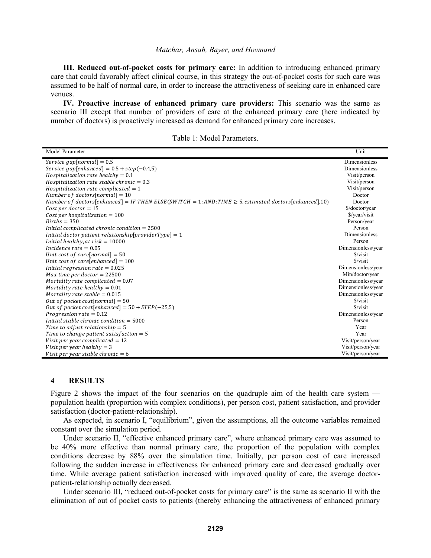**III. Reduced out-of-pocket costs for primary care:** In addition to introducing enhanced primary care that could favorably affect clinical course, in this strategy the out-of-pocket costs for such care was assumed to be half of normal care, in order to increase the attractiveness of seeking care in enhanced care venues.

**IV. Proactive increase of enhanced primary care providers:** This scenario was the same as scenario III except that number of providers of care at the enhanced primary care (here indicated by number of doctors) is proactively increased as demand for enhanced primary care increases.

Table 1: Model Parameters.

| Model Parameter                                                                                            | Unit                 |
|------------------------------------------------------------------------------------------------------------|----------------------|
| Service gap[normal] = $0.5$                                                                                | Dimensionless        |
| Service gap[enhanced] = $0.5 + step(-0.4,5)$                                                               | <b>Dimensionless</b> |
| $Hospitalization rate \, healthy = 0.1$                                                                    | Visit/person         |
| $Hospitalization rate stable chronic = 0.3$                                                                | Visit/person         |
| $Hospitalization rate$ complicated = 1                                                                     | Visit/person         |
| Number of doctors[normal] = $10$                                                                           | Doctor               |
| Number of doctors[enhanced] = IF THEN ELSE(SWITCH = 1: AND: TIME $\geq$ 5, estimated doctors[enhanced],10) | Doctor               |
| Cost per doctor $= 15$                                                                                     | \$/doctor/year       |
| Cost per hospitalization $= 100$                                                                           | \$/year/visit        |
| $Births = 350$                                                                                             | Person/year          |
| <i>Initial complicated chronic condition</i> $= 2500$                                                      | Person               |
| Initial doctor patient relationship[providerType] = 1                                                      | <b>Dimensionless</b> |
| Initial healthy, at $risk = 10000$                                                                         | Person               |
| Incidence rate $= 0.05$                                                                                    | Dimensionless/year   |
| Unit cost of care[normal] = $50$                                                                           | $\sqrt{\frac{1}{1}}$ |
| Unit cost of care[enhanced] = $100$                                                                        | S/visit              |
| <i>Initial regression rate</i> = $0.025$                                                                   | Dimensionless/year   |
| Max time per doctor $= 22500$                                                                              | Min/doctor/year      |
| Mortality rate complicated $= 0.07$                                                                        | Dimensionless/year   |
| Mortality rate healthy = $0.01$                                                                            | Dimensionless/year   |
| Mortality rate stable = $0.015$                                                                            | Dimensionless/year   |
| Out of pocket cost[normal] = $50$                                                                          | $\sqrt{\frac{1}{1}}$ |
| Out of pocket cost[enhanced] = $50 + STEP(-25,5)$                                                          | S/visit              |
| <i>Progression rate</i> = $0.12$                                                                           | Dimensionless/year   |
| <i>Initial stable chronic condition</i> $= 5000$                                                           | Person               |
| Time to adjust relationship $=$ 5                                                                          | Year                 |
| Time to change patient satisfaction $= 5$                                                                  | Year                 |
| Visit per year complicated $= 12$                                                                          | Visit/person/year    |
| Visit per year healthy $=$ 3                                                                               | Visit/person/year    |
| Visit per year stable chronic $= 6$                                                                        | Visit/person/year    |

### **4 RESULTS**

Figure 2 shows the impact of the four scenarios on the quadruple aim of the health care system population health (proportion with complex conditions), per person cost, patient satisfaction, and provider satisfaction (doctor-patient-relationship).

As expected, in scenario I, "equilibrium", given the assumptions, all the outcome variables remained constant over the simulation period.

Under scenario II, "effective enhanced primary care", where enhanced primary care was assumed to be 40% more effective than normal primary care, the proportion of the population with complex conditions decrease by 88% over the simulation time. Initially, per person cost of care increased following the sudden increase in effectiveness for enhanced primary care and decreased gradually over time. While average patient satisfaction increased with improved quality of care, the average doctorpatient-relationship actually decreased.

Under scenario III, "reduced out-of-pocket costs for primary care" is the same as scenario II with the elimination of out of pocket costs to patients (thereby enhancing the attractiveness of enhanced primary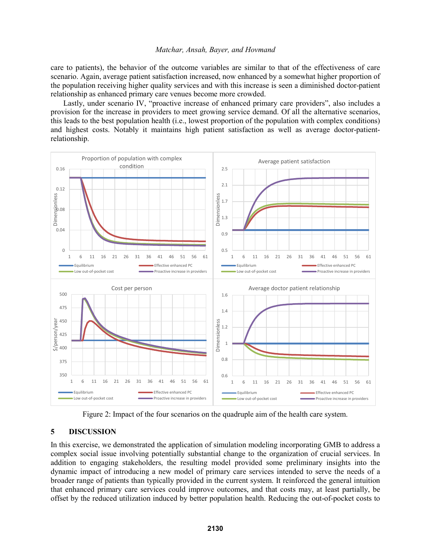care to patients), the behavior of the outcome variables are similar to that of the effectiveness of care scenario. Again, average patient satisfaction increased, now enhanced by a somewhat higher proportion of the population receiving higher quality services and with this increase is seen a diminished doctor-patient relationship as enhanced primary care venues become more crowded.

Lastly, under scenario IV, "proactive increase of enhanced primary care providers", also includes a provision for the increase in providers to meet growing service demand. Of all the alternative scenarios, this leads to the best population health (i.e., lowest proportion of the population with complex conditions) and highest costs. Notably it maintains high patient satisfaction as well as average doctor-patientrelationship.



Figure 2: Impact of the four scenarios on the quadruple aim of the health care system.

# **5 DISCUSSION**

In this exercise, we demonstrated the application of simulation modeling incorporating GMB to address a complex social issue involving potentially substantial change to the organization of crucial services. In addition to engaging stakeholders, the resulting model provided some preliminary insights into the dynamic impact of introducing a new model of primary care services intended to serve the needs of a broader range of patients than typically provided in the current system. It reinforced the general intuition that enhanced primary care services could improve outcomes, and that costs may, at least partially, be offset by the reduced utilization induced by better population health. Reducing the out-of-pocket costs to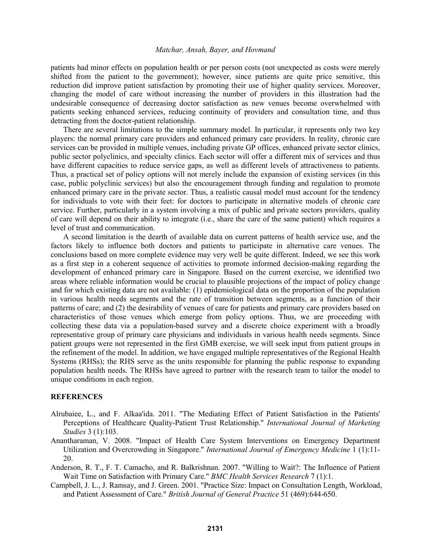patients had minor effects on population health or per person costs (not unexpected as costs were merely shifted from the patient to the government); however, since patients are quite price sensitive, this reduction did improve patient satisfaction by promoting their use of higher quality services. Moreover, changing the model of care without increasing the number of providers in this illustration had the undesirable consequence of decreasing doctor satisfaction as new venues become overwhelmed with patients seeking enhanced services, reducing continuity of providers and consultation time, and thus detracting from the doctor-patient relationship.

There are several limitations to the simple summary model. In particular, it represents only two key players: the normal primary care providers and enhanced primary care providers. In reality, chronic care services can be provided in multiple venues, including private GP offices, enhanced private sector clinics, public sector polyclinics, and specialty clinics. Each sector will offer a different mix of services and thus have different capacities to reduce service gaps, as well as different levels of attractiveness to patients. Thus, a practical set of policy options will not merely include the expansion of existing services (in this case, public polyclinic services) but also the encouragement through funding and regulation to promote enhanced primary care in the private sector. Thus, a realistic causal model must account for the tendency for individuals to vote with their feet: for doctors to participate in alternative models of chronic care service. Further, particularly in a system involving a mix of public and private sectors providers, quality of care will depend on their ability to integrate (i.e., share the care of the same patient) which requires a level of trust and communication.

A second limitation is the dearth of available data on current patterns of health service use, and the factors likely to influence both doctors and patients to participate in alternative care venues. The conclusions based on more complete evidence may very well be quite different. Indeed, we see this work as a first step in a coherent sequence of activities to promote informed decision-making regarding the development of enhanced primary care in Singapore. Based on the current exercise, we identified two areas where reliable information would be crucial to plausible projections of the impact of policy change and for which existing data are not available: (1) epidemiological data on the proportion of the population in various health needs segments and the rate of transition between segments, as a function of their patterns of care; and (2) the desirability of venues of care for patients and primary care providers based on characteristics of those venues which emerge from policy options. Thus, we are proceeding with collecting these data via a population-based survey and a discrete choice experiment with a broadly representative group of primary care physicians and individuals in various health needs segments. Since patient groups were not represented in the first GMB exercise, we will seek input from patient groups in the refinement of the model. In addition, we have engaged multiple representatives of the Regional Health Systems (RHSs); the RHS serve as the units responsible for planning the public response to expanding population health needs. The RHSs have agreed to partner with the research team to tailor the model to unique conditions in each region.

# **REFERENCES**

- Alrubaiee, L., and F. Alkaa'ida. 2011. "The Mediating Effect of Patient Satisfaction in the Patients' Perceptions of Healthcare Quality-Patient Trust Relationship." *International Journal of Marketing Studies* 3 (1):103.
- Anantharaman, V. 2008. "Impact of Health Care System Interventions on Emergency Department Utilization and Overcrowding in Singapore." *International Journal of Emergency Medicine* 1 (1):11- 20.
- Anderson, R. T., F. T. Camacho, and R. Balkrishnan. 2007. "Willing to Wait?: The Influence of Patient Wait Time on Satisfaction with Primary Care." *BMC Health Services Research* 7 (1):1.
- Campbell, J. L., J. Ramsay, and J. Green. 2001. "Practice Size: Impact on Consultation Length, Workload, and Patient Assessment of Care." *British Journal of General Practice* 51 (469):644-650.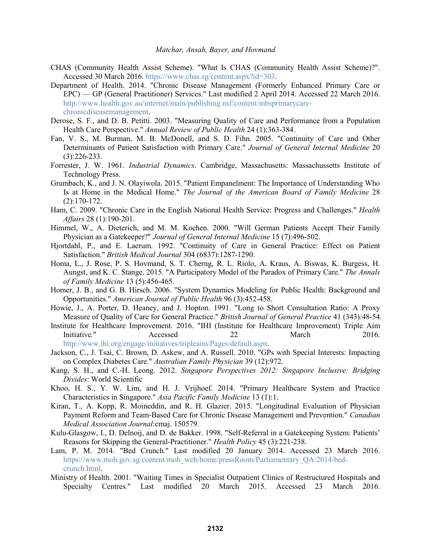- CHAS (Community Health Assist Scheme). "What Is CHAS (Community Health Assist Scheme)?". Accessed 30 March 2016. https://www.chas.sg/content.aspx?id=303.
- Department of Health. 2014. "Chronic Disease Management (Formerly Enhanced Primary Care or EPC) — GP (General Practitioner) Services." Last modified 2 April 2014. Accessed 22 March 2016. http://www.health.gov.au/internet/main/publishing.nsf/content/mbsprimarycarechronicdiseasemanagement.
- Derose, S. F., and D. B. Petitti. 2003. "Measuring Quality of Care and Performance from a Population Health Care Perspective." *Annual Review of Public Health* 24 (1):363-384.
- Fan, V. S., M. Burman, M. B. McDonell, and S. D. Fihn. 2005. "Continuity of Care and Other Determinants of Patient Satisfaction with Primary Care." *Journal of General Internal Medicine* 20 (3):226-233.
- Forrester, J. W. 1961. *Industrial Dynamics*. Cambridge, Massachusetts: Massachussetts Institute of Technology Press.
- Grumbach, K., and J. N. Olayiwola. 2015. "Patient Empanelment: The Importance of Understanding Who Is at Home in the Medical Home." *The Journal of the American Board of Family Medicine* 28 (2):170-172.
- Ham, C. 2009. "Chronic Care in the English National Health Service: Progress and Challenges." *Health Affairs* 28 (1):190-201.
- Himmel, W., A. Dieterich, and M. M. Kochen. 2000. "Will German Patients Accept Their Family Physician as a Gatekeeper?" *Journal of General Internal Medicine* 15 (7):496-502.
- Hjortdahl, P., and E. Laerum. 1992. "Continuity of Care in General Practice: Effect on Patient Satisfaction." *British Medical Journal* 304 (6837):1287-1290.
- Homa, L., J. Rose, P. S. Hovmand, S. T. Cherng, R. L. Riolo, A. Kraus, A. Biswas, K. Burgess, H. Aungst, and K. C. Stange. 2015. "A Participatory Model of the Paradox of Primary Care." *The Annals of Family Medicine* 13 (5):456-465.
- Homer, J. B., and G. B. Hirsch. 2006. "System Dynamics Modeling for Public Health: Background and Opportunities." *American Journal of Public Health* 96 (3):452-458.
- Howie, J., A. Porter, D. Heaney, and J. Hopton. 1991. "Long to Short Consultation Ratio: A Proxy Measure of Quality of Care for General Practice." *British Journal of General Practice* 41 (343):48-54.
- Institute for Healthcare Improvement. 2016. "IHI (Institute for Healthcare Improvement) Triple Aim Initiative." Accessed 22 March 2016. http://www.ihi.org/engage/initiatives/tripleaim/Pages/default.aspx.
- Jackson, C., J. Tsai, C. Brown, D. Askew, and A. Russell. 2010. "GPs with Special Interests: Impacting on Complex Diabetes Care." *Australian Family Physician* 39 (12):972.
- Kang, S. H., and C.-H. Leong. 2012. *Singapore Perspectives 2012: Singapore Inclusive: Bridging Divides*: World Scientific
- Khoo, H. S., Y. W. Lim, and H. J. Vrijhoef. 2014. "Primary Healthcare System and Practice Characteristics in Singapore." *Asia Pacific Family Medicine* 13 (1):1.
- Kiran, T., A. Kopp, R. Moineddin, and R. H. Glazier. 2015. "Longitudinal Evaluation of Physician Payment Reform and Team-Based Care for Chronic Disease Management and Prevention." *Canadian Medical Association Journal*:cmaj. 150579.
- Kulu-Glasgow, I., D. Delnoij, and D. de Bakker. 1998. "Self-Referral in a Gatekeeping System: Patients' Reasons for Skipping the General-Practitioner." *Health Policy* 45 (3):221-238.
- Lam, P. M. 2014. "Bed Crunch*.*" Last modified 20 January 2014. Accessed 23 March 2016. https://www.moh.gov.sg/content/moh\_web/home/pressRoom/Parliamentary\_QA/2014/bedcrunch.html.
- Ministry of Health. 2001. "Waiting Times in Specialist Outpatient Clinics of Restructured Hospitals and Specialty Centres*.*" Last modified 20 March 2015. Accessed 23 March 2016.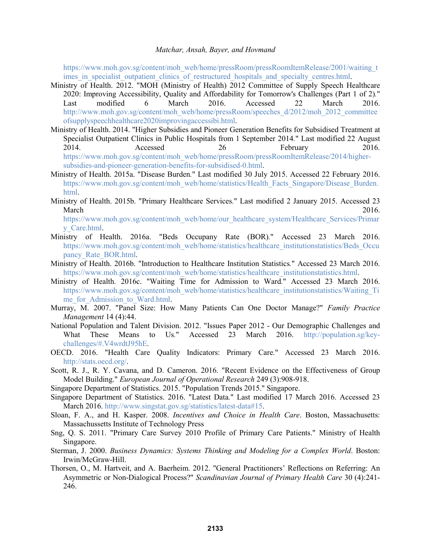https://www.moh.gov.sg/content/moh\_web/home/pressRoom/pressRoomItemRelease/2001/waiting\_t imes in specialist outpatient clinics of restructured hospitals and specialty centres.html.

- Ministry of Health. 2012. "MOH (Ministry of Health) 2012 Committee of Supply Speech Healthcare 2020: Improving Accessibility, Quality and Affordability for Tomorrow's Challenges (Part 1 of 2)*.*" Last modified 6 March 2016. Accessed 22 March 2016. http://www.moh.gov.sg/content/moh\_web/home/pressRoom/speeches\_d/2012/moh\_2012\_committee ofsupplyspeechhealthcare2020improvingaccessibi.html.
- Ministry of Health. 2014. "Higher Subsidies and Pioneer Generation Benefits for Subsidised Treatment at Specialist Outpatient Clinics in Public Hospitals from 1 September 2014*.*" Last modified 22 August 2014. Accessed 26 February 2016. https://www.moh.gov.sg/content/moh\_web/home/pressRoom/pressRoomItemRelease/2014/highersubsidies-and-pioneer-generation-benefits-for-subsidised-0.html.
- Ministry of Health. 2015a. "Disease Burden*.*" Last modified 30 July 2015. Accessed 22 February 2016. https://www.moh.gov.sg/content/moh\_web/home/statistics/Health\_Facts\_Singapore/Disease\_Burden. html.
- Ministry of Health. 2015b. "Primary Healthcare Services*.*" Last modified 2 January 2015. Accessed 23 March 2016.

https://www.moh.gov.sg/content/moh\_web/home/our\_healthcare\_system/Healthcare\_Services/Primar y\_Care.html.

- Ministry of Health. 2016a. "Beds Occupany Rate (BOR)*.*" Accessed 23 March 2016. https://www.moh.gov.sg/content/moh\_web/home/statistics/healthcare\_institutionstatistics/Beds\_Occu pancy\_Rate\_BOR.html.
- Ministry of Health. 2016b. "Introduction to Healthcare Institution Statistics*.*" Accessed 23 March 2016. https://www.moh.gov.sg/content/moh\_web/home/statistics/healthcare\_institutionstatistics.html.
- Ministry of Health. 2016c. "Waiting Time for Admission to Ward*.*" Accessed 23 March 2016. https://www.moh.gov.sg/content/moh\_web/home/statistics/healthcare\_institutionstatistics/Waiting\_Ti me\_for\_Admission\_to\_Ward.html.
- Murray, M. 2007. "Panel Size: How Many Patients Can One Doctor Manage?" *Family Practice Management* 14 (4):44.
- National Population and Talent Division. 2012. "Issues Paper 2012 Our Demographic Challenges and What These Means to Us*.*" Accessed 23 March 2016. http://population.sg/keychallenges/#.V4wrdtJ95hE.
- OECD. 2016. "Health Care Quality Indicators: Primary Care*.*" Accessed 23 March 2016. http://stats.oecd.org/.
- Scott, R. J., R. Y. Cavana, and D. Cameron. 2016. "Recent Evidence on the Effectiveness of Group Model Building." *European Journal of Operational Research* 249 (3):908-918.
- Singapore Department of Statistics. 2015. "Population Trends 2015." Singapore.
- Singapore Department of Statistics. 2016. "Latest Data*.*" Last modified 17 March 2016. Accessed 23 March 2016. http://www.singstat.gov.sg/statistics/latest-data#15.
- Sloan, F. A., and H. Kasper. 2008. *Incentives and Choice in Health Care*. Boston, Massachusetts: Massachussetts Institute of Technology Press
- Sng, Q. S. 2011. "Primary Care Survey 2010 Profile of Primary Care Patients." Ministry of Health Singapore.
- Sterman, J. 2000. *Business Dynamics: Systems Thinking and Modeling for a Complex World*. Boston: Irwin/McGraw-Hill.
- Thorsen, O., M. Hartveit, and A. Baerheim. 2012. "General Practitioners' Reflections on Referring: An Asymmetric or Non-Dialogical Process?" *Scandinavian Journal of Primary Health Care* 30 (4):241- 246.